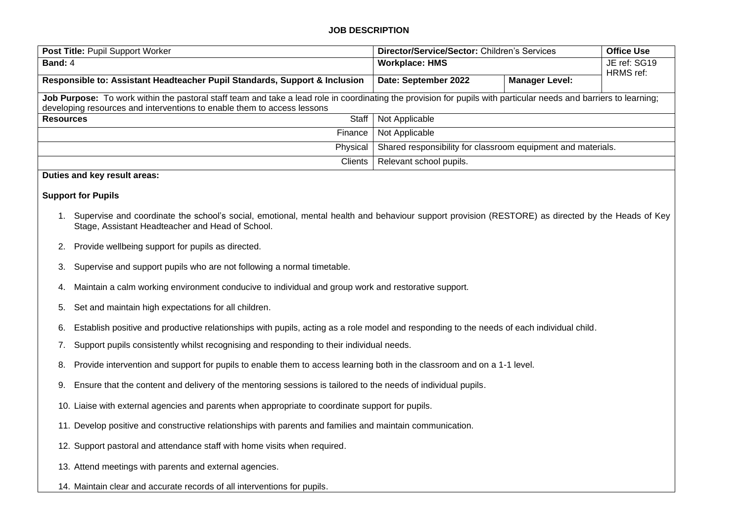# **JOB DESCRIPTION**

| Post Title: Pupil Support Worker                                                                                                                                                                                                             | Director/Service/Sector: Children's Services                 |                       | <b>Office Use</b> |  |
|----------------------------------------------------------------------------------------------------------------------------------------------------------------------------------------------------------------------------------------------|--------------------------------------------------------------|-----------------------|-------------------|--|
| Band: 4                                                                                                                                                                                                                                      | <b>Workplace: HMS</b>                                        |                       | JE ref: SG19      |  |
| Responsible to: Assistant Headteacher Pupil Standards, Support & Inclusion                                                                                                                                                                   | Date: September 2022                                         | <b>Manager Level:</b> | HRMS ref:         |  |
| Job Purpose: To work within the pastoral staff team and take a lead role in coordinating the provision for pupils with particular needs and barriers to learning;<br>developing resources and interventions to enable them to access lessons |                                                              |                       |                   |  |
| Staff<br><b>Resources</b>                                                                                                                                                                                                                    | Not Applicable                                               |                       |                   |  |
| Finance                                                                                                                                                                                                                                      | Not Applicable                                               |                       |                   |  |
| Physical                                                                                                                                                                                                                                     | Shared responsibility for classroom equipment and materials. |                       |                   |  |
| Clients                                                                                                                                                                                                                                      | Relevant school pupils.                                      |                       |                   |  |
| Duties and key result areas:                                                                                                                                                                                                                 |                                                              |                       |                   |  |

# **Support for Pupils**

- 1. Supervise and coordinate the school's social, emotional, mental health and behaviour support provision (RESTORE) as directed by the Heads of Key Stage, Assistant Headteacher and Head of School.
- 2. Provide wellbeing support for pupils as directed.
- 3. Supervise and support pupils who are not following a normal timetable.
- 4. Maintain a calm working environment conducive to individual and group work and restorative support.
- 5. Set and maintain high expectations for all children.
- 6. Establish positive and productive relationships with pupils, acting as a role model and responding to the needs of each individual child.
- 7. Support pupils consistently whilst recognising and responding to their individual needs.
- 8. Provide intervention and support for pupils to enable them to access learning both in the classroom and on a 1-1 level.
- 9. Ensure that the content and delivery of the mentoring sessions is tailored to the needs of individual pupils.
- 10. Liaise with external agencies and parents when appropriate to coordinate support for pupils.
- 11. Develop positive and constructive relationships with parents and families and maintain communication.
- 12. Support pastoral and attendance staff with home visits when required.
- 13. Attend meetings with parents and external agencies.
- 14. Maintain clear and accurate records of all interventions for pupils.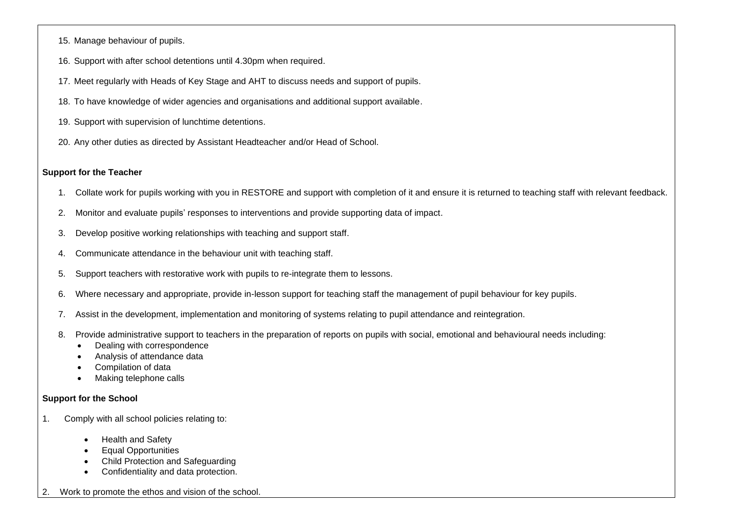- 15. Manage behaviour of pupils.
- 16. Support with after school detentions until 4.30pm when required.
- 17. Meet regularly with Heads of Key Stage and AHT to discuss needs and support of pupils.
- 18. To have knowledge of wider agencies and organisations and additional support available.
- 19. Support with supervision of lunchtime detentions.
- 20. Any other duties as directed by Assistant Headteacher and/or Head of School.

### **Support for the Teacher**

- 1. Collate work for pupils working with you in RESTORE and support with completion of it and ensure it is returned to teaching staff with relevant feedback.
- 2. Monitor and evaluate pupils' responses to interventions and provide supporting data of impact.
- 3. Develop positive working relationships with teaching and support staff.
- 4. Communicate attendance in the behaviour unit with teaching staff.
- 5. Support teachers with restorative work with pupils to re-integrate them to lessons.
- 6. Where necessary and appropriate, provide in-lesson support for teaching staff the management of pupil behaviour for key pupils.
- 7. Assist in the development, implementation and monitoring of systems relating to pupil attendance and reintegration.
- 8. Provide administrative support to teachers in the preparation of reports on pupils with social, emotional and behavioural needs including:
	- Dealing with correspondence
	- Analysis of attendance data
	- Compilation of data
	- Making telephone calls

#### **Support for the School**

- 1. Comply with all school policies relating to:
	- Health and Safety
	- Equal Opportunities
	- Child Protection and Safeguarding
	- Confidentiality and data protection.
- 2. Work to promote the ethos and vision of the school.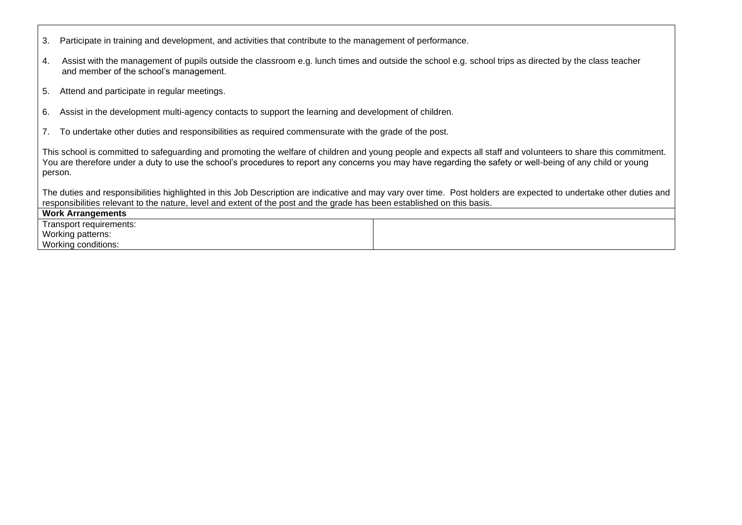|  |  | 3. Participate in training and development, and activities that contribute to the management of performance. |  |  |  |
|--|--|--------------------------------------------------------------------------------------------------------------|--|--|--|
|--|--|--------------------------------------------------------------------------------------------------------------|--|--|--|

- 4. Assist with the management of pupils outside the classroom e.g. lunch times and outside the school e.g. school trips as directed by the class teacher and member of the school's management.
- 5. Attend and participate in regular meetings.
- 6. Assist in the development multi-agency contacts to support the learning and development of children.
- 7. To undertake other duties and responsibilities as required commensurate with the grade of the post.

This school is committed to safeguarding and promoting the welfare of children and young people and expects all staff and volunteers to share this commitment. You are therefore under a duty to use the school's procedures to report any concerns you may have regarding the safety or well-being of any child or young person.

The duties and responsibilities highlighted in this Job Description are indicative and may vary over time. Post holders are expected to undertake other duties and responsibilities relevant to the nature, level and extent of the post and the grade has been established on this basis.

| Work Arrangements       |  |  |
|-------------------------|--|--|
| Transport requirements: |  |  |
| Working patterns:       |  |  |
| Working conditions:     |  |  |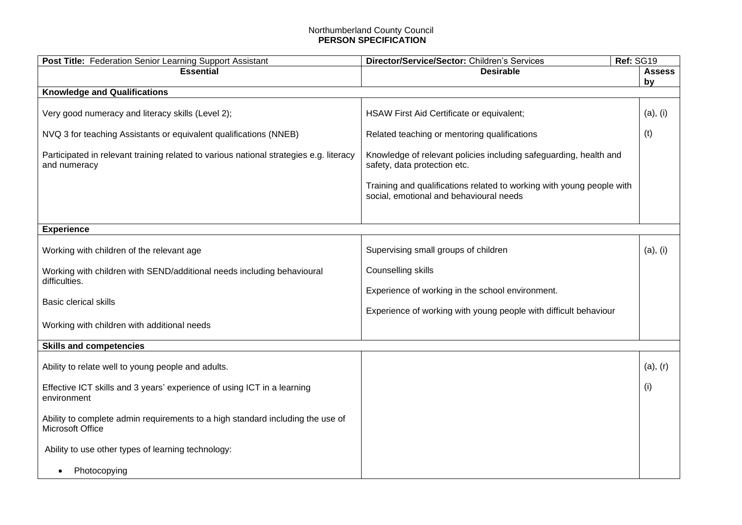# Northumberland County Council **PERSON SPECIFICATION**

| Post Title: Federation Senior Learning Support Assistant                                               | Ref: SG19<br>Director/Service/Sector: Children's Services                                                        |          |
|--------------------------------------------------------------------------------------------------------|------------------------------------------------------------------------------------------------------------------|----------|
| <b>Essential</b>                                                                                       | <b>Desirable</b>                                                                                                 |          |
|                                                                                                        |                                                                                                                  | by       |
| <b>Knowledge and Qualifications</b>                                                                    |                                                                                                                  |          |
| Very good numeracy and literacy skills (Level 2);                                                      | HSAW First Aid Certificate or equivalent;                                                                        | (a), (i) |
| NVQ 3 for teaching Assistants or equivalent qualifications (NNEB)                                      | Related teaching or mentoring qualifications                                                                     |          |
| Participated in relevant training related to various national strategies e.g. literacy<br>and numeracy | Knowledge of relevant policies including safeguarding, health and<br>safety, data protection etc.                |          |
|                                                                                                        | Training and qualifications related to working with young people with<br>social, emotional and behavioural needs |          |
|                                                                                                        |                                                                                                                  |          |
| <b>Experience</b>                                                                                      |                                                                                                                  |          |
| Working with children of the relevant age                                                              | Supervising small groups of children                                                                             | (a), (i) |
| Working with children with SEND/additional needs including behavioural<br>difficulties.                | Counselling skills                                                                                               |          |
| <b>Basic clerical skills</b>                                                                           | Experience of working in the school environment.                                                                 |          |
|                                                                                                        | Experience of working with young people with difficult behaviour                                                 |          |
| Working with children with additional needs                                                            |                                                                                                                  |          |
| <b>Skills and competencies</b>                                                                         |                                                                                                                  |          |
|                                                                                                        |                                                                                                                  |          |
| Ability to relate well to young people and adults.                                                     |                                                                                                                  | (a), (r) |
| Effective ICT skills and 3 years' experience of using ICT in a learning<br>environment                 |                                                                                                                  | (i)      |
| Ability to complete admin requirements to a high standard including the use of<br>Microsoft Office     |                                                                                                                  |          |
| Ability to use other types of learning technology:                                                     |                                                                                                                  |          |
| Photocopying<br>$\bullet$                                                                              |                                                                                                                  |          |